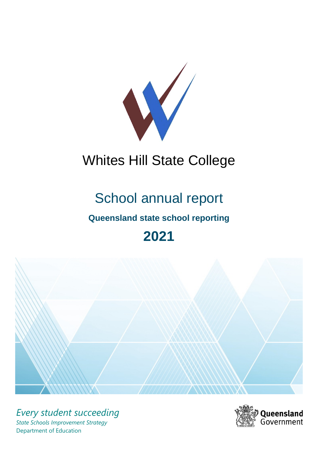

# Whites Hill State College

# School annual report

# **Queensland state school reporting**

# **2021**



*Every student succeeding State Schools Improvement Strategy* Department of Education

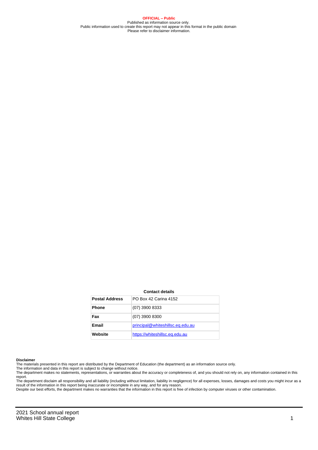**OFFICIAL – Public** Published as information source only. Public information used to create this report may not appear in this format in the public domain Please refer to disclaimer information.

#### **Contact details**

| <b>Postal Address</b> | <b>PO Box 42 Carina 4152</b>     |
|-----------------------|----------------------------------|
| <b>Phone</b>          | (07) 3900 8333                   |
| Fax                   | $(07)$ 3900 8300                 |
| Email                 | principal@whiteshillsc.eq.edu.au |
| Website               | https://whiteshillsc.eq.edu.au   |

#### **Disclaimer**

The materials presented in this report are distributed by the Department of Education (the department) as an information source only.

The information and data in this report is subject to change without notice.<br>The department makes no statements, representations, or warranties about the accuracy or completeness of, and you should not rely on, any informa report. The department disclaim all responsibility and all liability (including without limitation, liability in negligence) for all expenses, losses, damages and costs you might incur as a

result of the information in this report being inaccurate or incomplete in any way, and for any reason.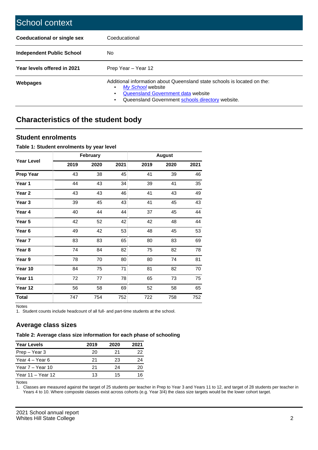| School context                   |                                                                                                                                                                                         |
|----------------------------------|-----------------------------------------------------------------------------------------------------------------------------------------------------------------------------------------|
| Coeducational or single sex      | Coeducational                                                                                                                                                                           |
| <b>Independent Public School</b> | No.                                                                                                                                                                                     |
| Year levels offered in 2021      | Prep Year - Year 12                                                                                                                                                                     |
| Webpages                         | Additional information about Queensland state schools is located on the:<br>My School website<br>Queensland Government data website<br>Queensland Government schools directory website. |

# **Characteristics of the student body**

### **Student enrolments**

### **Table 1: Student enrolments by year level**

|                   |      | <b>February</b> |      |      | <b>August</b> |      |
|-------------------|------|-----------------|------|------|---------------|------|
| <b>Year Level</b> | 2019 | 2020            | 2021 | 2019 | 2020          | 2021 |
| <b>Prep Year</b>  | 43   | 38              | 45   | 41   | 39            | 46   |
| Year 1            | 44   | 43              | 34   | 39   | 41            | 35   |
| Year 2            | 43   | 43              | 46   | 41   | 43            | 49   |
| Year 3            | 39   | 45              | 43   | 41   | 45            | 43   |
| Year 4            | 40   | 44              | 44   | 37   | 45            | 44   |
| Year 5            | 42   | 52              | 42   | 42   | 48            | 44   |
| Year <sub>6</sub> | 49   | 42              | 53   | 48   | 45            | 53   |
| Year <sub>7</sub> | 83   | 83              | 65   | 80   | 83            | 69   |
| Year 8            | 74   | 84              | 82   | 75   | 82            | 78   |
| Year 9            | 78   | 70              | 80   | 80   | 74            | 81   |
| Year 10           | 84   | 75              | 71   | 81   | 82            | 70   |
| Year 11           | 72   | 77              | 78   | 65   | 73            | 75   |
| Year 12           | 56   | 58              | 69   | 52   | 58            | 65   |
| <b>Total</b>      | 747  | 754             | 752  | 722  | 758           | 752  |

Notes

1. Student counts include headcount of all full- and part-time students at the school.

### **Average class sizes**

### **Table 2: Average class size information for each phase of schooling**

| <b>Year Levels</b> | 2019 | 2020 | 2021 |
|--------------------|------|------|------|
| Prep - Year 3      | 20   | 21   | 22   |
| Year 4 – Year 6    | 21   | 23   | 24   |
| Year $7 -$ Year 10 | 21   | 24   | 20   |
| Year 11 – Year 12  | 13   | 15   | 16   |

Notes

1. Classes are measured against the target of 25 students per teacher in Prep to Year 3 and Years 11 to 12, and target of 28 students per teacher in Years 4 to 10. Where composite classes exist across cohorts (e.g. Year 3/4) the class size targets would be the lower cohort target.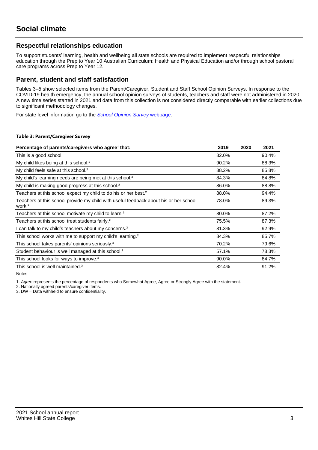## **Respectful relationships education**

To support students' learning, health and wellbeing all state schools are required to implement respectful relationships education through the Prep to Year 10 Australian Curriculum: Health and Physical Education and/or through school pastoral care programs across Prep to Year 12.

### **Parent, student and staff satisfaction**

Tables 3–5 show selected items from the Parent/Caregiver, Student and Staff School Opinion Surveys. In response to the COVID-19 health emergency, the annual school opinion surveys of students, teachers and staff were not administered in 2020. A new time series started in 2021 and data from this collection is not considered directly comparable with earlier collections due to significant methodology changes.

For state level information go to the **[School Opinion Survey](https://qed.qld.gov.au/publications/reports/statistics/schooling/schools/schoolopinionsurvey) webpage**.

### **Table 3: Parent/Caregiver Survey**

| Percentage of parents/caregivers who agree <sup>1</sup> that:                                               | 2019  | 2020 | 2021  |
|-------------------------------------------------------------------------------------------------------------|-------|------|-------|
| This is a good school.                                                                                      | 82.0% |      | 90.4% |
| My child likes being at this school. <sup>2</sup>                                                           | 90.2% |      | 88.3% |
| My child feels safe at this school. <sup>2</sup>                                                            | 88.2% |      | 85.8% |
| My child's learning needs are being met at this school. <sup>2</sup>                                        | 84.3% |      | 84.8% |
| My child is making good progress at this school. <sup>2</sup>                                               | 86.0% |      | 88.8% |
| Teachers at this school expect my child to do his or her best. <sup>2</sup>                                 | 88.0% |      | 94.4% |
| Teachers at this school provide my child with useful feedback about his or her school<br>work. <sup>2</sup> | 78.0% |      | 89.3% |
| Teachers at this school motivate my child to learn. <sup>2</sup>                                            | 80.0% |      | 87.2% |
| Teachers at this school treat students fairly. <sup>2</sup>                                                 | 75.5% |      | 87.3% |
| can talk to my child's teachers about my concerns. <sup>2</sup>                                             | 81.3% |      | 92.9% |
| This school works with me to support my child's learning. <sup>2</sup>                                      | 84.3% |      | 85.7% |
| This school takes parents' opinions seriously. <sup>2</sup>                                                 | 70.2% |      | 79.6% |
| Student behaviour is well managed at this school. <sup>2</sup>                                              | 57.1% |      | 78.3% |
| This school looks for ways to improve. <sup>2</sup>                                                         | 90.0% |      | 84.7% |
| This school is well maintained. <sup>2</sup>                                                                | 82.4% |      | 91.2% |

Notes

1. Agree represents the percentage of respondents who Somewhat Agree, Agree or Strongly Agree with the statement.

2. Nationally agreed parents/caregiver items.

3. DW = Data withheld to ensure confidentiality.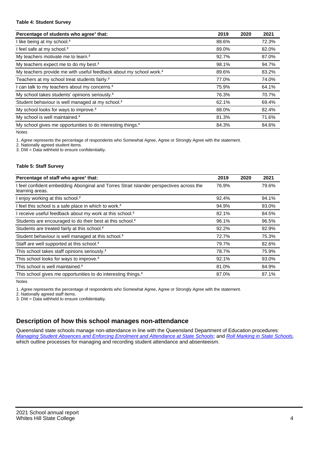### **Table 4: Student Survey**

| Percentage of students who agree <sup>1</sup> that:                            | 2019  | 2020 | 2021  |
|--------------------------------------------------------------------------------|-------|------|-------|
| I like being at my school. <sup>2</sup>                                        | 88.6% |      | 72.3% |
| I feel safe at my school. <sup>2</sup>                                         | 89.0% |      | 82.0% |
| My teachers motivate me to learn. <sup>2</sup>                                 | 92.7% |      | 87.0% |
| My teachers expect me to do my best. <sup>2</sup>                              | 98.1% |      | 94.7% |
| My teachers provide me with useful feedback about my school work. <sup>2</sup> | 89.6% |      | 83.2% |
| Teachers at my school treat students fairly. <sup>2</sup>                      | 77.0% |      | 74.0% |
| I can talk to my teachers about my concerns. <sup>2</sup>                      | 75.9% |      | 64.1% |
| My school takes students' opinions seriously. <sup>2</sup>                     | 76.3% |      | 70.7% |
| Student behaviour is well managed at my school. <sup>2</sup>                   | 62.1% |      | 69.4% |
| My school looks for ways to improve. <sup>2</sup>                              | 88.0% |      | 82.4% |
| My school is well maintained. <sup>2</sup>                                     | 81.3% |      | 71.6% |
| My school gives me opportunities to do interesting things. <sup>2</sup>        | 84.3% |      | 84.6% |

Notes

1. Agree represents the percentage of respondents who Somewhat Agree, Agree or Strongly Agree with the statement.

2. Nationally agreed student items.

3. DW = Data withheld to ensure confidentiality.

### **Table 5: Staff Survey**

| Percentage of staff who agree <sup>1</sup> that:                                                            | 2019  | 2020 | 2021  |
|-------------------------------------------------------------------------------------------------------------|-------|------|-------|
| I feel confident embedding Aboriginal and Torres Strait Islander perspectives across the<br>learning areas. | 76.9% |      | 79.6% |
| I enjoy working at this school. <sup>2</sup>                                                                | 92.4% |      | 94.1% |
| I feel this school is a safe place in which to work. <sup>2</sup>                                           | 94.9% |      | 93.0% |
| I receive useful feedback about my work at this school. <sup>2</sup>                                        | 82.1% |      | 84.5% |
| Students are encouraged to do their best at this school. <sup>2</sup>                                       | 96.1% |      | 96.5% |
| Students are treated fairly at this school. <sup>2</sup>                                                    | 92.2% |      | 92.9% |
| Student behaviour is well managed at this school. <sup>2</sup>                                              | 72.7% |      | 75.3% |
| Staff are well supported at this school. <sup>2</sup>                                                       | 79.7% |      | 82.6% |
| This school takes staff opinions seriously. <sup>2</sup>                                                    | 78.7% |      | 75.9% |
| This school looks for ways to improve. <sup>2</sup>                                                         | 92.1% |      | 93.0% |
| This school is well maintained. <sup>2</sup>                                                                | 81.0% |      | 84.9% |
| This school gives me opportunities to do interesting things. <sup>2</sup>                                   | 87.0% |      | 87.1% |

Notes

1. Agree represents the percentage of respondents who Somewhat Agree, Agree or Strongly Agree with the statement.

2. Nationally agreed staff items.

3. DW = Data withheld to ensure confidentiality.

# **Description of how this school manages non-attendance**

Queensland state schools manage non-attendance in line with the Queensland Department of Education procedures: [Managing Student Absences and Enforcing Enrolment and Attendance at State Schools](https://ppr.qed.qld.gov.au/pp/managing-student-absences-and-enforcing-enrolment-and-attendance-at-state-schools-procedure); and [Roll Marking in State Schools,](https://ppr.qed.qld.gov.au/pp/roll-marking-in-state-schools-procedure) which outline processes for managing and recording student attendance and absenteeism.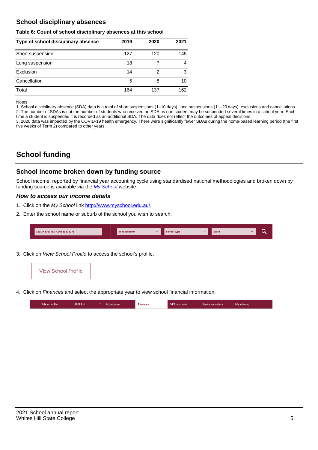# **School disciplinary absences**

### **Table 6: Count of school disciplinary absences at this school**

| Type of school disciplinary absence | 2019 | 2020 | 2021 |
|-------------------------------------|------|------|------|
| Short suspension                    | 127  | 120  | 145  |
| Long suspension                     | 18   |      | 4    |
| Exclusion                           | 14   | 2    | 3    |
| Cancellation                        | 5    | 8    | 10   |
| Total                               | 164  | 137  | 162  |

#### Notes

1. School disciplinary absence (SDA) data is a total of short suspensions (1–10 days), long suspensions (11–20 days), exclusions and cancellations. 2. The number of SDAs is not the number of students who received an SDA as one student may be suspended several times in a school year. Each time a student is suspended it is recorded as an additional SDA. The data does not reflect the outcomes of appeal decisions.

3. 2020 data was impacted by the COVID-19 health emergency. There were significantly fewer SDAs during the home-based learning period (the first five weeks of Term 2) compared to other years.

# **School funding**

### **School income broken down by funding source**

School income, reported by financial year accounting cycle using standardised national methodologies and broken down by funding source is available via the [My School](http://www.myschool.edu.au/) website.

### **How to access our income details**

- 1. Click on the My School link <http://www.myschool.edu.au/>.
- 2. Enter the school name or suburb of the school you wish to search.

| Search by school name or suburb | <b>School sector</b> | School type | <b>State</b> |  |
|---------------------------------|----------------------|-------------|--------------|--|
|                                 |                      |             |              |  |

3. Click on View School Profile to access the school's profile.



4. Click on Finances and select the appropriate year to view school financial information.

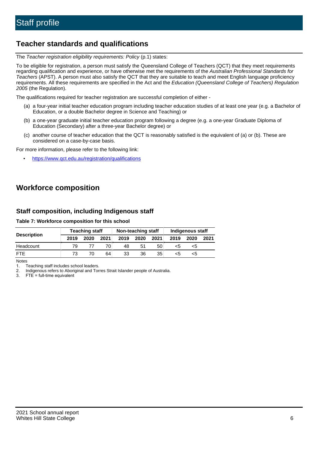# **Teacher standards and qualifications**

The Teacher registration eligibility requirements: Policy (p.1) states:

To be eligible for registration, a person must satisfy the Queensland College of Teachers (QCT) that they meet requirements regarding qualification and experience, or have otherwise met the requirements of the Australian Professional Standards for Teachers (APST). A person must also satisfy the QCT that they are suitable to teach and meet English language proficiency requirements. All these requirements are specified in the Act and the Education (Queensland College of Teachers) Regulation 2005 (the Regulation).

The qualifications required for teacher registration are successful completion of either -

- (a) a four-year initial teacher education program including teacher education studies of at least one year (e.g. a Bachelor of Education, or a double Bachelor degree in Science and Teaching) or
- (b) a one-year graduate initial teacher education program following a degree (e.g. a one-year Graduate Diploma of Education (Secondary) after a three-year Bachelor degree) or
- (c) another course of teacher education that the QCT is reasonably satisfied is the equivalent of (a) or (b). These are considered on a case-by-case basis.

For more information, please refer to the following link:

• <https://www.qct.edu.au/registration/qualifications>

# **Workforce composition**

## **Staff composition, including Indigenous staff**

**Table 7: Workforce composition for this school**

|                    | <b>Teaching staff</b> |      |      | Non-teaching staff |      |      | <b>Indigenous staff</b> |      |      |
|--------------------|-----------------------|------|------|--------------------|------|------|-------------------------|------|------|
| <b>Description</b> | 2019                  | 2020 | 2021 | 2019               | 2020 | 2021 | 2019                    | 2020 | 2021 |
| Headcount          | 79                    |      | 70   | 48                 | 51   | 50   | <5                      | <5   |      |
| <b>FTE</b>         | 73                    |      | 64   | 33                 | 36   | 35   | <5                      | <5   |      |

Notes

1. Teaching staff includes school leaders.

2. Indigenous refers to Aboriginal and Torres Strait Islander people of Australia.

3. FTE = full-time equivalent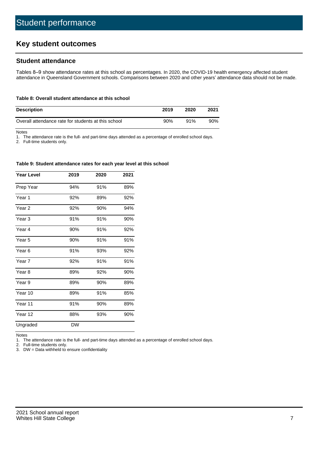# **Key student outcomes**

## **Student attendance**

Tables 8–9 show attendance rates at this school as percentages. In 2020, the COVID-19 health emergency affected student attendance in Queensland Government schools. Comparisons between 2020 and other years' attendance data should not be made.

#### **Table 8: Overall student attendance at this school**

| <b>Description</b>                                  | 2019 | 2020 | 2021 |
|-----------------------------------------------------|------|------|------|
| Overall attendance rate for students at this school | 90%  | 91%  | 90%  |

Notes

1. The attendance rate is the full- and part-time days attended as a percentage of enrolled school days.

2. Full-time students only.

#### **Table 9: Student attendance rates for each year level at this school**

| <b>Year Level</b> | 2019      | 2020 | 2021 |
|-------------------|-----------|------|------|
| Prep Year         | 94%       | 91%  | 89%  |
| Year 1            | 92%       | 89%  | 92%  |
| Year <sub>2</sub> | 92%       | 90%  | 94%  |
| Year <sub>3</sub> | 91%       | 91%  | 90%  |
| Year 4            | 90%       | 91%  | 92%  |
| Year <sub>5</sub> | 90%       | 91%  | 91%  |
| Year <sub>6</sub> | 91%       | 93%  | 92%  |
| Year <sub>7</sub> | 92%       | 91%  | 91%  |
| Year <sub>8</sub> | 89%       | 92%  | 90%  |
| Year 9            | 89%       | 90%  | 89%  |
| Year 10           | 89%       | 91%  | 85%  |
| Year 11           | 91%       | 90%  | 89%  |
| Year 12           | 88%       | 93%  | 90%  |
| Ungraded          | <b>DW</b> |      |      |

Notes

1. The attendance rate is the full- and part-time days attended as a percentage of enrolled school days.<br>2. Full-time students only.

Full-time students only.

3. DW = Data withheld to ensure confidentiality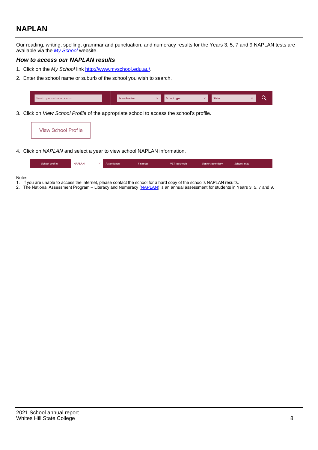# **NAPLAN**

Our reading, writing, spelling, grammar and punctuation, and numeracy results for the Years 3, 5, 7 and 9 NAPLAN tests are available via the [My School](http://www.myschool.edu.au/) website.

### **How to access our NAPLAN results**

- 1. Click on the My School link <http://www.myschool.edu.au/>.
- 2. Enter the school name or suburb of the school you wish to search.

| Search by school name or suburb | <b>School sector</b> | <b>School type</b>                        |          | <b>State</b> |  |
|---------------------------------|----------------------|-------------------------------------------|----------|--------------|--|
|                                 |                      |                                           |          |              |  |
|                                 |                      | $\sim$ $\sim$ $\sim$ $\sim$ $\sim$ $\sim$ | $\cdots$ |              |  |

3. Click on View School Profile of the appropriate school to access the school's profile.

| <b>View School Profile</b> |
|----------------------------|
|----------------------------|

4. Click on NAPLAN and select a year to view school NAPLAN information.

|  | School profile | <b>NAPLAN</b><br>$\sim$ 1 | Attendance | <b>Finances</b> | <b>VET</b> in schools | Senior secondary | Schools map |
|--|----------------|---------------------------|------------|-----------------|-----------------------|------------------|-------------|
|--|----------------|---------------------------|------------|-----------------|-----------------------|------------------|-------------|

#### Notes

- 1. If you are unable to access the internet, please contact the school for a hard copy of the school's NAPLAN results.
- 2. The National Assessment Program Literacy and Numeracy ([NAPLAN\)](http://www.nap.edu.au/naplan) is an annual assessment for students in Years 3, 5, 7 and 9.